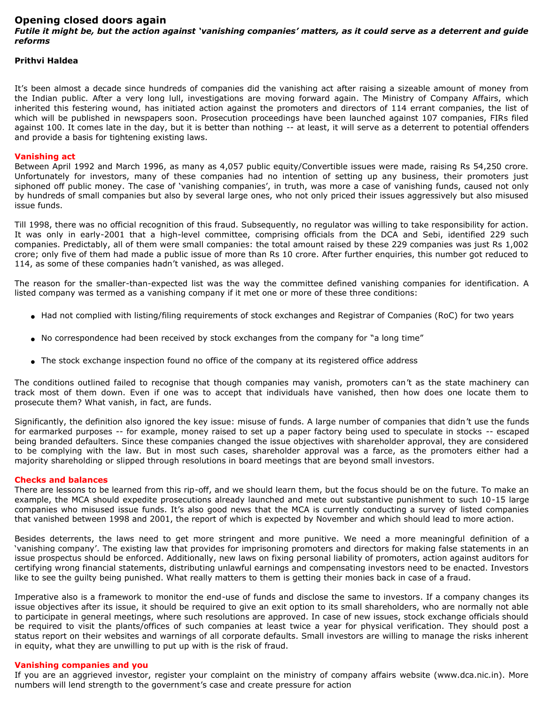# **Opening closed doors again**

*Futile it might be, but the action against 'vanishing companies' matters, as it could serve as a deterrent and guide reforms*

### **Prithvi Haldea**

It's been almost a decade since hundreds of companies did the vanishing act after raising a sizeable amount of money from the Indian public. After a very long lull, investigations are moving forward again. The Ministry of Company Affairs, which inherited this festering wound, has initiated action against the promoters and directors of 114 errant companies, the list of which will be published in newspapers soon. Prosecution proceedings have been launched against 107 companies, FIRs filed against 100. It comes late in the day, but it is better than nothing -- at least, it will serve as a deterrent to potential offenders and provide a basis for tightening existing laws.

### **Vanishing act**

Between April 1992 and March 1996, as many as 4,057 public equity/Convertible issues were made, raising Rs 54,250 crore. Unfortunately for investors, many of these companies had no intention of setting up any business, their promoters just siphoned off public money. The case of 'vanishing companies', in truth, was more a case of vanishing funds, caused not only by hundreds of small companies but also by several large ones, who not only priced their issues aggressively but also misused issue funds.

Till 1998, there was no official recognition of this fraud. Subsequently, no regulator was willing to take responsibility for action. It was only in early-2001 that a high-level committee, comprising officials from the DCA and Sebi, identified 229 such companies. Predictably, all of them were small companies: the total amount raised by these 229 companies was just Rs 1,002 crore; only five of them had made a public issue of more than Rs 10 crore. After further enquiries, this number got reduced to 114, as some of these companies hadn't vanished, as was alleged.

The reason for the smaller-than-expected list was the way the committee defined vanishing companies for identification. A listed company was termed as a vanishing company if it met one or more of these three conditions:

- Had not complied with listing/filing requirements of stock exchanges and Registrar of Companies (RoC) for two years
- No correspondence had been received by stock exchanges from the company for "a long time"
- The stock exchange inspection found no office of the company at its registered office address

The conditions outlined failed to recognise that though companies may vanish, promoters can't as the state machinery can track most of them down. Even if one was to accept that individuals have vanished, then how does one locate them to prosecute them? What vanish, in fact, are funds.

Significantly, the definition also ignored the key issue: misuse of funds. A large number of companies that didn't use the funds for earmarked purposes -- for example, money raised to set up a paper factory being used to speculate in stocks -- escaped being branded defaulters. Since these companies changed the issue objectives with shareholder approval, they are considered to be complying with the law. But in most such cases, shareholder approval was a farce, as the promoters either had a majority shareholding or slipped through resolutions in board meetings that are beyond small investors.

#### **Checks and balances**

There are lessons to be learned from this rip-off, and we should learn them, but the focus should be on the future. To make an example, the MCA should expedite prosecutions already launched and mete out substantive punishment to such 10-15 large companies who misused issue funds. It's also good news that the MCA is currently conducting a survey of listed companies that vanished between 1998 and 2001, the report of which is expected by November and which should lead to more action.

Besides deterrents, the laws need to get more stringent and more punitive. We need a more meaningful definition of a 'vanishing company'. The existing law that provides for imprisoning promoters and directors for making false statements in an issue prospectus should be enforced. Additionally, new laws on fixing personal liability of promoters, action against auditors for certifying wrong financial statements, distributing unlawful earnings and compensating investors need to be enacted. Investors like to see the guilty being punished. What really matters to them is getting their monies back in case of a fraud.

Imperative also is a framework to monitor the end-use of funds and disclose the same to investors. If a company changes its issue objectives after its issue, it should be required to give an exit option to its small shareholders, who are normally not able to participate in general meetings, where such resolutions are approved. In case of new issues, stock exchange officials should be required to visit the plants/offices of such companies at least twice a year for physical verification. They should post a status report on their websites and warnings of all corporate defaults. Small investors are willing to manage the risks inherent in equity, what they are unwilling to put up with is the risk of fraud.

## **Vanishing companies and you**

If you are an aggrieved investor, register your complaint on the ministry of company affairs website (www.dca.nic.in). More numbers will lend strength to the government's case and create pressure for action